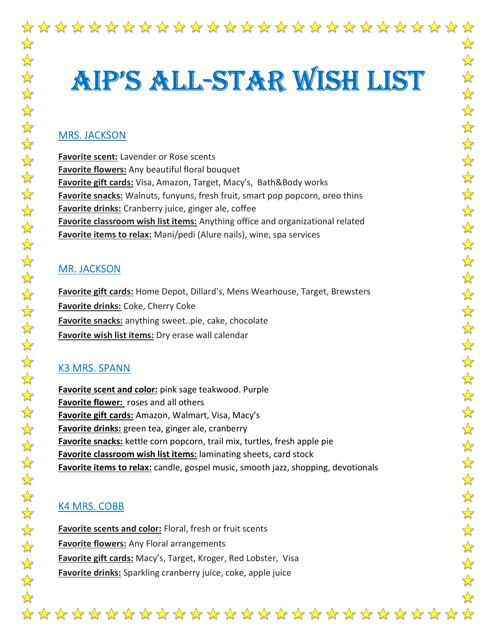# Aip'S All-StAr wiSh liSt

#### MRS. JACKSON

Favorite scent: Lavender or Rose scents **Favorite flowers:** Any beautiful floral bouquet Favorite gift cards: Visa, Amazon, Target, Macy's, Bath&Body works Favorite snacks: Walnuts, funyuns, fresh fruit, smart pop popcorn, oreo thins **Favorite drinks:** Cranberry juice, ginger ale, coffee Favorite classroom wish list items: Anything office and organizational related Favorite items to relax: Mani/pedi (Alure nails), wine, spa services

#### MR. JACKSON

**Favorite gift cards:** Home Depot, Dillard's, Mens Wearhouse, Target, Brewsters **Favorite drinks:** Coke, Cherry Coke Favorite snacks: anything sweet..pie, cake, chocolate Favorite wish list items: Dry erase wall calendar

### K3 MRS. SPANN

Favorite scent and color: pink sage teakwood. Purple Favorite flower: roses and all others Favorite gift cards: Amazon, Walmart, Visa, Macy's Favorite drinks: green tea, ginger ale, cranberry Favorite snacks: kettle corn popcorn, trail mix, turtles, fresh apple pie Favorite classroom wish list items: laminating sheets, card stock Favorite items to relax: candle, gospel music, smooth jazz, shopping, devotionals

## K4 MRS. COBB

Favorite scents and color: Floral, fresh or fruit scents **Favorite flowers:** Any Floral arrangements Favorite gift cards: Macy's, Target, Kroger, Red Lobster, Visa Favorite drinks: Sparkling cranberry juice, coke, apple juice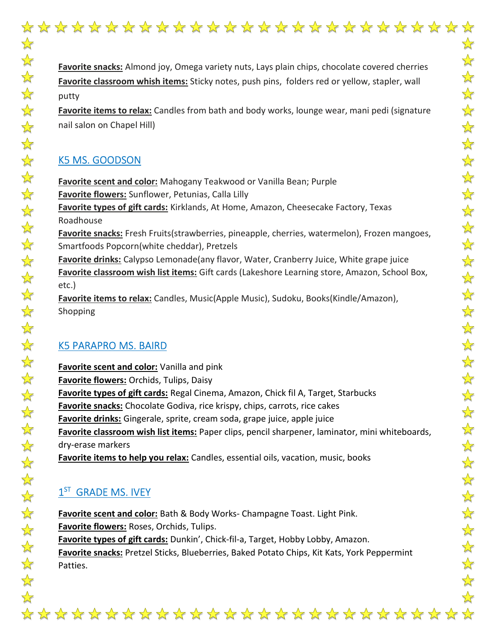

Favorite snacks: Almond joy, Omega variety nuts, Lays plain chips, chocolate covered cherries Favorite classroom whish items: Sticky notes, push pins, folders red or yellow, stapler, wall putty

Favorite items to relax: Candles from bath and body works, lounge wear, mani pedi (signature nail salon on Chapel Hill)

## K5 MS. GOODSON

**Favorite scent and color:** Mahogany Teakwood or Vanilla Bean; Purple **Favorite flowers:** Sunflower, Petunias, Calla Lilly Favorite types of gift cards: Kirklands, At Home, Amazon, Cheesecake Factory, Texas Roadhouse Favorite snacks: Fresh Fruits(strawberries, pineapple, cherries, watermelon), Frozen mangoes, Smartfoods Popcorn(white cheddar), Pretzels Favorite drinks: Calypso Lemonade(any flavor, Water, Cranberry Juice, White grape juice Favorite classroom wish list items: Gift cards (Lakeshore Learning store, Amazon, School Box, etc.)

**Favorite items to relax:** Candles, Music(Apple Music), Sudoku, Books(Kindle/Amazon), Shopping

### K5 PARAPRO MS. BAIRD

Favorite scent and color: Vanilla and pink Favorite flowers: Orchids, Tulips, Daisy Favorite types of gift cards: Regal Cinema, Amazon, Chick fil A, Target, Starbucks Favorite snacks: Chocolate Godiva, rice krispy, chips, carrots, rice cakes **Favorite drinks:** Gingerale, sprite, cream soda, grape juice, apple juice Favorite classroom wish list items: Paper clips, pencil sharpener, laminator, mini whiteboards, dry-erase markers Favorite items to help you relax: Candles, essential oils, vacation, music, books

## $1<sup>ST</sup>$  GRADE MS. IVEY

Favorite scent and color: Bath & Body Works- Champagne Toast. Light Pink. Favorite flowers: Roses, Orchids, Tulips. Favorite types of gift cards: Dunkin', Chick-fil-a, Target, Hobby Lobby, Amazon. Favorite snacks: Pretzel Sticks, Blueberries, Baked Potato Chips, Kit Kats, York Peppermint Patties.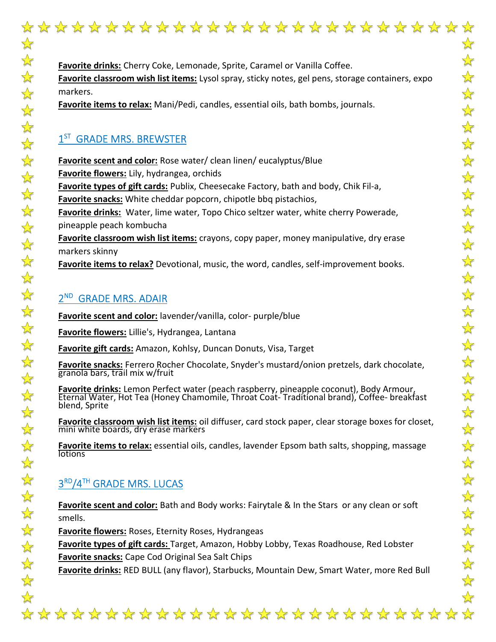\*\*\*\*\*\*\*\*\*\*\*\*\*\*\*\*\*\*\*\*\*\*\*\*\*\*\*\* Favorite drinks: Cherry Coke, Lemonade, Sprite, Caramel or Vanilla Coffee. Favorite classroom wish list items: Lysol spray, sticky notes, gel pens, storage containers, expo markers. Favorite items to relax: Mani/Pedi, candles, essential oils, bath bombs, journals.

## 1<sup>ST</sup> GRADE MRS. BREWSTER

**Favorite scent and color:** Rose water/ clean linen/ eucalyptus/Blue Favorite flowers: Lily, hydrangea, orchids Favorite types of gift cards: Publix, Cheesecake Factory, bath and body, Chik Fil-a, **Favorite snacks:** White cheddar popcorn, chipotle bbq pistachios, Favorite drinks: Water, lime water, Topo Chico seltzer water, white cherry Powerade, pineapple peach kombucha Favorite classroom wish list items: crayons, copy paper, money manipulative, dry erase markers skinny Favorite items to relax? Devotional, music, the word, candles, self-improvement books.

## 2<sup>ND</sup> GRADE MRS. ADAIR

Favorite scent and color: lavender/vanilla, color- purple/blue

Favorite flowers: Lillie's, Hydrangea, Lantana

Favorite gift cards: Amazon, Kohlsy, Duncan Donuts, Visa, Target

Favorite snacks: Ferrero Rocher Chocolate, Snyder's mustard/onion pretzels, dark chocolate, granola bars, trail mix w/fruit

Favorite drinks: Lemon Perfect water (peach raspberry, pineapple coconut), Body Armour, Eternal Water, Hot Tea (Honey Chamomile, Throat Coat-Traditional brand), Coffee- breakfast blend, Sprite

Favorite classroom wish list items: oil diffuser, card stock paper, clear storage boxes for closet, mini white boards, dry erase markers

Favorite items to relax: essential oils, candles, lavender Epsom bath salts, shopping, massage **lotions** 

## $3<sup>RD</sup>/4<sup>TH</sup>$  GRADE MRS. LUCAS

Favorite scent and color: Bath and Body works: Fairytale & In the Stars or any clean or soft smells.

Favorite flowers: Roses, Eternity Roses, Hydrangeas

Favorite types of gift cards: Target, Amazon, Hobby Lobby, Texas Roadhouse, Red Lobster Favorite snacks: Cape Cod Original Sea Salt Chips

Favorite drinks: RED BULL (any flavor), Starbucks, Mountain Dew, Smart Water, more Red Bull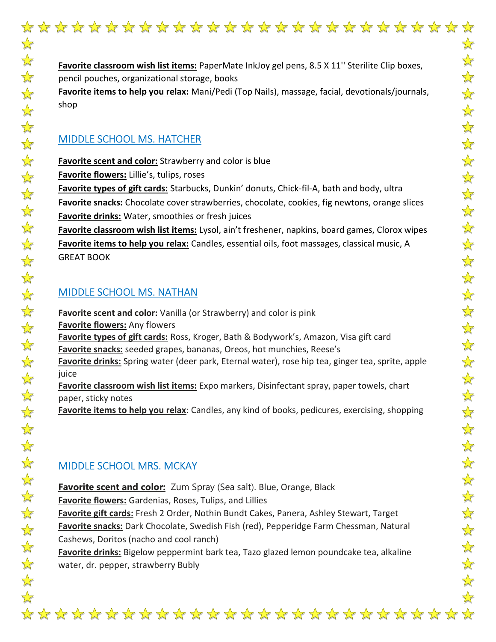$\frac{1}{\sqrt{2}}$ 

 $\frac{1}{2}$ 

 $\frac{1}{2}$ 

 $\frac{1}{2}$ 

Favorite classroom wish list items: PaperMate InkJoy gel pens, 8.5 X 11'' Sterilite Clip boxes, pencil pouches, organizational storage, books

Favorite items to help you relax: Mani/Pedi (Top Nails), massage, facial, devotionals/journals,

## MIDDLE SCHOOL MS. HATCHER

Favorite scent and color: Strawberry and color is blue Favorite flowers: Lillie's, tulips, roses Favorite types of gift cards: Starbucks, Dunkin' donuts, Chick-fil-A, bath and body, ultra Favorite snacks: Chocolate cover strawberries, chocolate, cookies, fig newtons, orange slices Favorite drinks: Water, smoothies or fresh juices Favorite classroom wish list items: Lysol, ain't freshener, napkins, board games, Clorox wipes Favorite items to help you relax: Candles, essential oils, foot massages, classical music, A

GREAT BOOK

## MIDDLE SCHOOL MS. NATHAN

Favorite scent and color: Vanilla (or Strawberry) and color is pink **Favorite flowers:** Any flowers Favorite types of gift cards: Ross, Kroger, Bath & Bodywork's, Amazon, Visa gift card Favorite snacks: seeded grapes, bananas, Oreos, hot munchies, Reese's Favorite drinks: Spring water (deer park, Eternal water), rose hip tea, ginger tea, sprite, apple Favorite classroom wish list items: Expo markers, Disinfectant spray, paper towels, chart paper, sticky notes

Favorite items to help you relax: Candles, any kind of books, pedicures, exercising, shopping

## MIDDLE SCHOOL MRS. MCKAY

**Favorite scent and color:** Zum Spray (Sea salt). Blue, Orange, Black Favorite flowers: Gardenias, Roses, Tulips, and Lillies Favorite gift cards: Fresh 2 Order, Nothin Bundt Cakes, Panera, Ashley Stewart, Target Favorite snacks: Dark Chocolate, Swedish Fish (red), Pepperidge Farm Chessman, Natural Cashews, Doritos (nacho and cool ranch)

Favorite drinks: Bigelow peppermint bark tea, Tazo glazed lemon poundcake tea, alkaline water, dr. pepper, strawberry Bubly